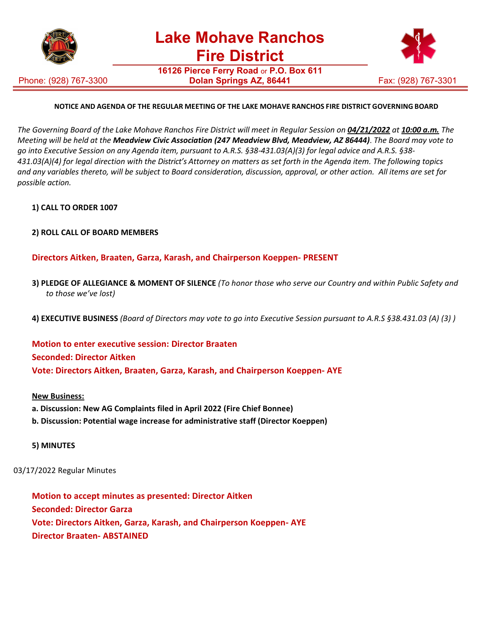

Phone: (928) 767-3300

**16126 Pierce Ferry Road** or **P.O. Box 611 Dolan Springs AZ, 86441** Fax: (928) 767-3301



## **NOTICE AND AGENDA OF THE REGULAR MEETING OF THE LAKE MOHAVE RANCHOS FIRE DISTRICT GOVERNING BOARD**

The Governing Board of the Lake Mohave Ranchos Fire District will meet in Regular Session on 04/21/2022 at 10:00 a.m. The *Meeting will be held at the Meadview Civic Association (247 Meadview Blvd, Meadview, AZ 86444)*. *The Board may vote to go into Executive Session on any Agenda item, pursuant to A.R.S. §38-431.03(A)(3) for legal advice and A.R.S. §38- 431.03(A)(4) for legal direction with the District's Attorney on matters as set forth in the Agenda item. The following topics and any variables thereto, will be subject to Board consideration, discussion, approval, or other action. All items are set for possible action.*

### **1) CALL TO ORDER 1007**

**2) ROLL CALL OF BOARD MEMBERS**

**Directors Aitken, Braaten, Garza, Karash, and Chairperson Koeppen- PRESENT**

- **3) PLEDGE OF ALLEGIANCE & MOMENT OF SILENCE** *(To honor those who serve our Country and within Public Safety and to those we've lost)*
- **4) EXECUTIVE BUSINESS** *(Board of Directors may vote to go into Executive Session pursuant to A.R.S §38.431.03 (A) (3) )*

**Motion to enter executive session: Director Braaten Seconded: Director Aitken Vote: Directors Aitken, Braaten, Garza, Karash, and Chairperson Koeppen- AYE**

#### **New Business:**

- **a. Discussion: New AG Complaints filed in April 2022 (Fire Chief Bonnee)**
- **b. Discussion: Potential wage increase for administrative staff (Director Koeppen)**

### **5) MINUTES**

03/17/2022 Regular Minutes

**Motion to accept minutes as presented: Director Aitken Seconded: Director Garza Vote: Directors Aitken, Garza, Karash, and Chairperson Koeppen- AYE Director Braaten- ABSTAINED**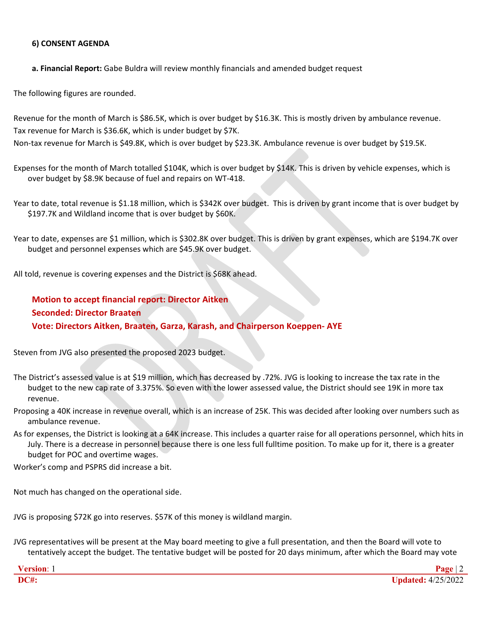### **6) CONSENT AGENDA**

**a. Financial Report:** Gabe Buldra will review monthly financials and amended budget request

The following figures are rounded.

Revenue for the month of March is \$86.5K, which is over budget by \$16.3K. This is mostly driven by ambulance revenue. Tax revenue for March is \$36.6K, which is under budget by \$7K.

Non-tax revenue for March is \$49.8K, which is over budget by \$23.3K. Ambulance revenue is over budget by \$19.5K.

Expenses for the month of March totalled \$104K, which is over budget by \$14K. This is driven by vehicle expenses, which is over budget by \$8.9K because of fuel and repairs on WT-418.

Year to date, total revenue is \$1.18 million, which is \$342K over budget. This is driven by grant income that is over budget by \$197.7K and Wildland income that is over budget by \$60K.

Year to date, expenses are \$1 million, which is \$302.8K over budget. This is driven by grant expenses, which are \$194.7K over budget and personnel expenses which are \$45.9K over budget.

All told, revenue is covering expenses and the District is \$68K ahead.

**Motion to accept financial report: Director Aitken Seconded: Director Braaten Vote: Directors Aitken, Braaten, Garza, Karash, and Chairperson Koeppen- AYE**

Steven from JVG also presented the proposed 2023 budget.

- The District's assessed value is at \$19 million, which has decreased by .72%. JVG is looking to increase the tax rate in the budget to the new cap rate of 3.375%. So even with the lower assessed value, the District should see 19K in more tax revenue.
- Proposing a 40K increase in revenue overall, which is an increase of 25K. This was decided after looking over numbers such as ambulance revenue.
- As for expenses, the District is looking at a 64K increase. This includes a quarter raise for all operations personnel, which hits in July. There is a decrease in personnel because there is one less full fulltime position. To make up for it, there is a greater budget for POC and overtime wages.

Worker's comp and PSPRS did increase a bit.

Not much has changed on the operational side.

JVG is proposing \$72K go into reserves. \$57K of this money is wildland margin.

JVG representatives will be present at the May board meeting to give a full presentation, and then the Board will vote to tentatively accept the budget. The tentative budget will be posted for 20 days minimum, after which the Board may vote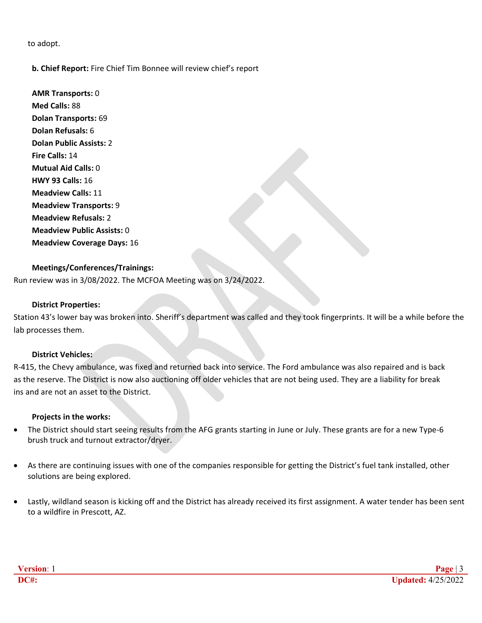to adopt.

### **b. Chief Report:** Fire Chief Tim Bonnee will review chief's report

**AMR Transports:** 0 **Med Calls:** 88 **Dolan Transports:** 69 **Dolan Refusals:** 6 **Dolan Public Assists:** 2 **Fire Calls:** 14 **Mutual Aid Calls:** 0 **HWY 93 Calls:** 16 **Meadview Calls:** 11 **Meadview Transports:** 9 **Meadview Refusals:** 2 **Meadview Public Assists:** 0 **Meadview Coverage Days:** 16

### **Meetings/Conferences/Trainings:**

Run review was in 3/08/2022. The MCFOA Meeting was on 3/24/2022.

### **District Properties:**

Station 43's lower bay was broken into. Sheriff's department was called and they took fingerprints. It will be a while before the lab processes them.

### **District Vehicles:**

R-415, the Chevy ambulance, was fixed and returned back into service. The Ford ambulance was also repaired and is back as the reserve. The District is now also auctioning off older vehicles that are not being used. They are a liability for break ins and are not an asset to the District.

### **Projects in the works:**

- The District should start seeing results from the AFG grants starting in June or July. These grants are for a new Type-6 brush truck and turnout extractor/dryer.
- As there are continuing issues with one of the companies responsible for getting the District's fuel tank installed, other solutions are being explored.
- Lastly, wildland season is kicking off and the District has already received its first assignment. A water tender has been sent to a wildfire in Prescott, AZ.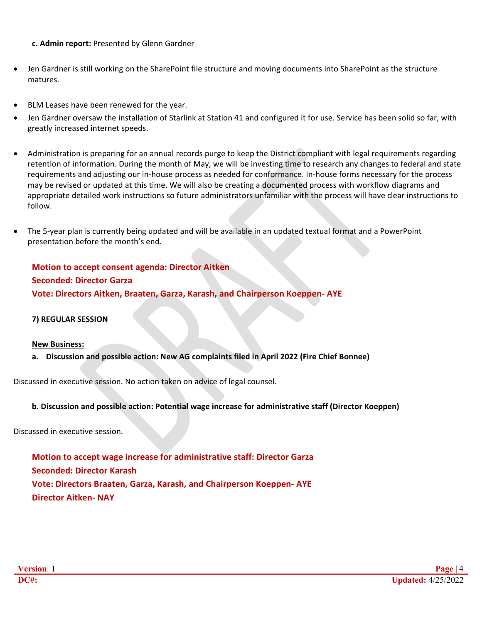**c. Admin report:** Presented by Glenn Gardner

- Jen Gardner is still working on the SharePoint file structure and moving documents into SharePoint as the structure matures.
- BLM Leases have been renewed for the year.
- Jen Gardner oversaw the installation of Starlink at Station 41 and configured it for use. Service has been solid so far, with greatly increased internet speeds.
- Administration is preparing for an annual records purge to keep the District compliant with legal requirements regarding retention of information. During the month of May, we will be investing time to research any changes to federal and state requirements and adjusting our in-house process as needed for conformance. In-house forms necessary for the process may be revised or updated at this time. We will also be creating a documented process with workflow diagrams and appropriate detailed work instructions so future administrators unfamiliar with the process will have clear instructions to follow.
- The 5-year plan is currently being updated and will be available in an updated textual format and a PowerPoint presentation before the month's end.

# **Motion to accept consent agenda: Director Aitken Seconded: Director Garza Vote: Directors Aitken, Braaten, Garza, Karash, and Chairperson Koeppen- AYE**

### **7) REGULAR SESSION**

### **New Business:**

**a. Discussion and possible action: New AG complaints filed in April 2022 (Fire Chief Bonnee)**

Discussed in executive session. No action taken on advice of legal counsel.

### **b. Discussion and possible action: Potential wage increase for administrative staff (Director Koeppen)**

Discussed in executive session.

**Motion to accept wage increase for administrative staff: Director Garza Seconded: Director Karash Vote: Directors Braaten, Garza, Karash, and Chairperson Koeppen- AYE Director Aitken- NAY**